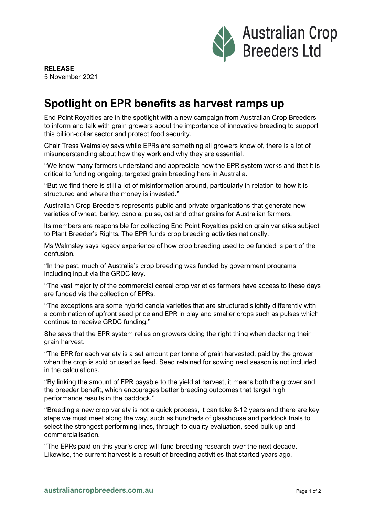

## **Spotlight on EPR benefits as harvest ramps up**

End Point Royalties are in the spotlight with a new campaign from Australian Crop Breeders to inform and talk with grain growers about the importance of innovative breeding to support this billion-dollar sector and protect food security.

Chair Tress Walmsley says while EPRs are something all growers know of, there is a lot of misunderstanding about how they work and why they are essential.

"We know many farmers understand and appreciate how the EPR system works and that it is critical to funding ongoing, targeted grain breeding here in Australia.

"But we find there is still a lot of misinformation around, particularly in relation to how it is structured and where the money is invested."

Australian Crop Breeders represents public and private organisations that generate new varieties of wheat, barley, canola, pulse, oat and other grains for Australian farmers.

Its members are responsible for collecting End Point Royalties paid on grain varieties subject to Plant Breeder's Rights. The EPR funds crop breeding activities nationally.

Ms Walmsley says legacy experience of how crop breeding used to be funded is part of the confusion.

"In the past, much of Australia's crop breeding was funded by government programs including input via the GRDC levy.

"The vast majority of the commercial cereal crop varieties farmers have access to these days are funded via the collection of EPRs.

"The exceptions are some hybrid canola varieties that are structured slightly differently with a combination of upfront seed price and EPR in play and smaller crops such as pulses which continue to receive GRDC funding."

She says that the EPR system relies on growers doing the right thing when declaring their grain harvest.

"The EPR for each variety is a set amount per tonne of grain harvested, paid by the grower when the crop is sold or used as feed. Seed retained for sowing next season is not included in the calculations.

"By linking the amount of EPR payable to the yield at harvest, it means both the grower and the breeder benefit, which encourages better breeding outcomes that target high performance results in the paddock."

"Breeding a new crop variety is not a quick process, it can take 8-12 years and there are key steps we must meet along the way, such as hundreds of glasshouse and paddock trials to select the strongest performing lines, through to quality evaluation, seed bulk up and commercialisation.

"The EPRs paid on this year's crop will fund breeding research over the next decade. Likewise, the current harvest is a result of breeding activities that started years ago.